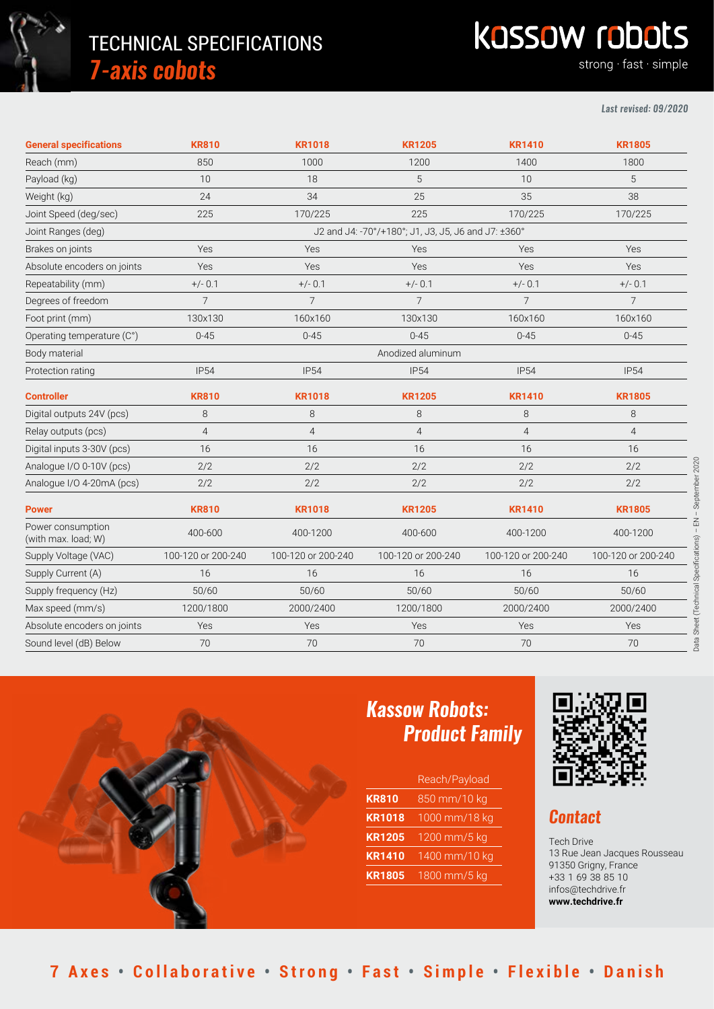

# TECHNICAL SPECIFICATIONS *7-axis cobots*

# **Kassow robots**

strong fast simple

#### *Last revised: 09/2020*

| <b>General specifications</b>            | <b>KR810</b>                                        | <b>KR1018</b>      | <b>KR1205</b>      | <b>KR1410</b>      | <b>KR1805</b>                                       |
|------------------------------------------|-----------------------------------------------------|--------------------|--------------------|--------------------|-----------------------------------------------------|
| Reach (mm)                               | 850                                                 | 1000               | 1200               | 1400               | 1800                                                |
| Payload (kg)                             | 10                                                  | 18                 | 5                  | 10                 | 5                                                   |
| Weight (kg)                              | 24                                                  | 34                 | 25                 | 35                 | 38                                                  |
| Joint Speed (deg/sec)                    | 225                                                 | 170/225            | 225                | 170/225            | 170/225                                             |
| Joint Ranges (deg)                       | J2 and J4: -70°/+180°; J1, J3, J5, J6 and J7: ±360° |                    |                    |                    |                                                     |
| Brakes on joints                         | Yes                                                 | Yes                | Yes                | Yes                | Yes                                                 |
| Absolute encoders on joints              | Yes                                                 | Yes                | Yes                | Yes                | Yes                                                 |
| Repeatability (mm)                       | $+/- 0.1$                                           | $+/- 0.1$          | $+/- 0.1$          | $+/- 0.1$          | $+/- 0.1$                                           |
| Degrees of freedom                       | $\overline{7}$                                      | $\overline{7}$     | $\overline{7}$     | $\overline{7}$     | $\overline{7}$                                      |
| Foot print (mm)                          | 130x130                                             | 160x160            | 130x130            | 160x160            | 160x160                                             |
| Operating temperature (C°)               | $0 - 45$                                            | $0 - 45$           | $0 - 45$           | $0 - 45$           | $0 - 45$                                            |
| Body material                            | Anodized aluminum                                   |                    |                    |                    |                                                     |
| Protection rating                        | <b>IP54</b>                                         | <b>IP54</b>        | <b>IP54</b>        | <b>IP54</b>        | <b>IP54</b>                                         |
| <b>Controller</b>                        | <b>KR810</b>                                        | <b>KR1018</b>      | <b>KR1205</b>      | <b>KR1410</b>      | <b>KR1805</b>                                       |
| Digital outputs 24V (pcs)                | 8                                                   | 8                  | 8                  | 8                  | 8                                                   |
| Relay outputs (pcs)                      | $\overline{4}$                                      | $\overline{4}$     | $\overline{4}$     | $\overline{4}$     | $\overline{4}$                                      |
| Digital inputs 3-30V (pcs)               | 16                                                  | 16                 | 16                 | 16                 | 16                                                  |
| Analogue I/O 0-10V (pcs)                 | 2/2                                                 | 2/2                | 2/2                | 2/2                | 2/2                                                 |
| Analogue I/O 4-20mA (pcs)                | 2/2                                                 | 2/2                | 2/2                | 2/2                | ember 2020<br>2/2                                   |
| <b>Power</b>                             | <b>KR810</b>                                        | <b>KR1018</b>      | <b>KR1205</b>      | <b>KR1410</b>      | <b>KR1805</b>                                       |
| Power consumption<br>(with max. load; W) | 400-600                                             | 400-1200           | 400-600            | 400-1200           | $\mathop{\mathbb{E}}$<br>$\blacksquare$<br>400-1200 |
| Supply Voltage (VAC)                     | 100-120 or 200-240                                  | 100-120 or 200-240 | 100-120 or 200-240 | 100-120 or 200-240 | 100-120 or 200-240                                  |
| Supply Current (A)                       | 16                                                  | 16                 | 16                 | 16                 | 16                                                  |
| Supply frequency (Hz)                    | 50/60                                               | 50/60              | 50/60              | 50/60              | 50/60                                               |
| Max speed (mm/s)                         | 1200/1800                                           | 2000/2400          | 1200/1800          | 2000/2400          | 2000/2400                                           |
| Absolute encoders on joints              | Yes                                                 | Yes                | Yes                | Yes                | Sheet<br>Yes                                        |
| Sound level (dB) Below                   | 70                                                  | 70                 | 70                 | 70                 | 70                                                  |



## *Kassow Robots: Product Family*

|               | Reach/Payload |
|---------------|---------------|
| <b>KR810</b>  | 850 mm/10 kg  |
| <b>KR1018</b> | 1000 mm/18 kg |
| <b>KR1205</b> | 1200 mm/5 kg  |
| <b>KR1410</b> | 1400 mm/10 kg |
| <b>KR1805</b> | 1800 mm/5 kg  |



### *Contact*

Tech Drive 13 Rue Jean Jacques Rousseau 91350 Grigny, France +33 1 69 38 85 10 [infos@techdrive.fr](mailto:infos@techdrive.fr) **[www.techdrive.fr](https://techdrive.fr/)**